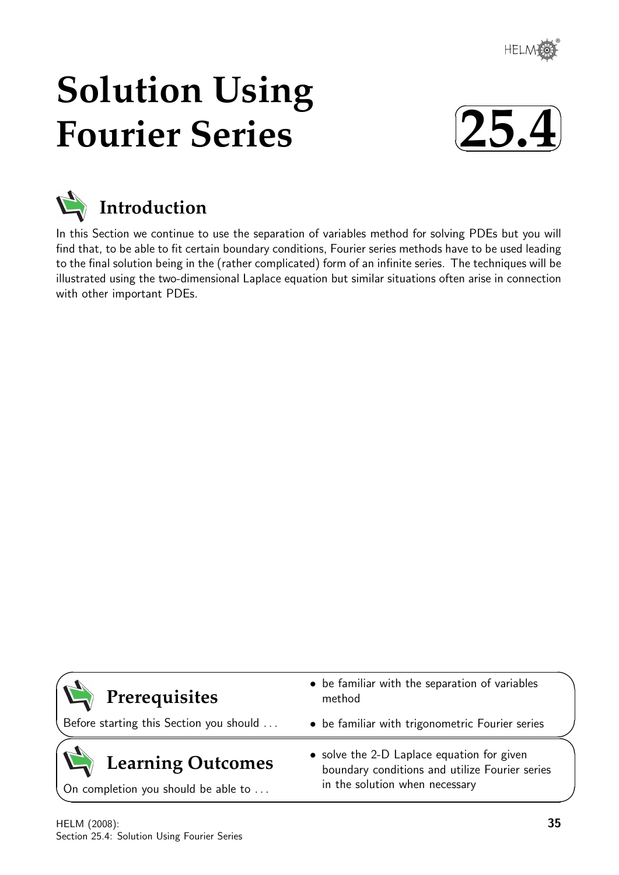

# **Solution Using Fourier Series**





In this Section we continue to use the separation of variables method for solving PDEs but you will find that, to be able to fit certain boundary conditions, Fourier series methods have to be used leading to the final solution being in the (rather complicated) form of an infinite series. The techniques will be illustrated using the two-dimensional Laplace equation but similar situations often arise in connection with other important PDEs.

| $\sum$ Prerequisites                    | • be familiar with the separation of variables<br>method                                     |  |
|-----------------------------------------|----------------------------------------------------------------------------------------------|--|
| Before starting this Section you should | • be familiar with trigonometric Fourier series                                              |  |
| $\sum$<br><b>Learning Outcomes</b>      | • solve the 2-D Laplace equation for given<br>boundary conditions and utilize Fourier series |  |

On completion you should be able to ...

boundary conditions and utilize Fourier series in the solution when necessary

 $\overline{\phantom{0}}$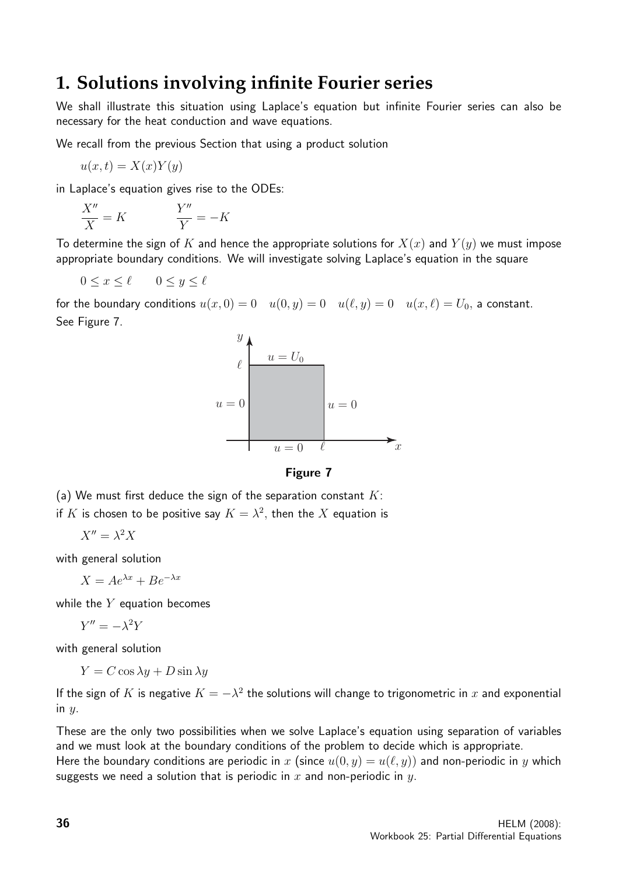# **1. Solutions involving infinite Fourier series**

We shall illustrate this situation using Laplace's equation but infinite Fourier series can also be necessary for the heat conduction and wave equations.

We recall from the previous Section that using a product solution

$$
u(x,t) = X(x)Y(y)
$$

in Laplace's equation gives rise to the ODEs:

$$
\frac{X''}{X} = K \qquad \qquad \frac{Y''}{Y} = -K
$$

To determine the sign of K and hence the appropriate solutions for  $X(x)$  and  $Y(y)$  we must impose appropriate boundary conditions. We will investigate solving Laplace's equation in the square

 $0 \leq x \leq \ell$   $0 \leq y \leq \ell$ 

for the boundary conditions  $u(x, 0) = 0$   $u(0, y) = 0$   $u(\ell, y) = 0$   $u(x, \ell) = U_0$ , a constant. See Figure 7.





(a) We must first deduce the sign of the separation constant  $K$ :

if K is chosen to be positive say  $K = \lambda^2$ , then the X equation is

$$
X'' = \lambda^2 X
$$

with general solution

$$
X = Ae^{\lambda x} + Be^{-\lambda x}
$$

while the  $Y$  equation becomes

$$
Y'' = -\lambda^2 Y
$$

with general solution

$$
Y = C\cos\lambda y + D\sin\lambda y
$$

If the sign of K is negative  $K = -\lambda^2$  the solutions will change to trigonometric in x and exponential in  $y$ .

These are the only two possibilities when we solve Laplace's equation using separation of variables and we must look at the boundary conditions of the problem to decide which is appropriate.

Here the boundary conditions are periodic in x (since  $u(0, y) = u(\ell, y)$ ) and non-periodic in y which suggests we need a solution that is periodic in x and non-periodic in y.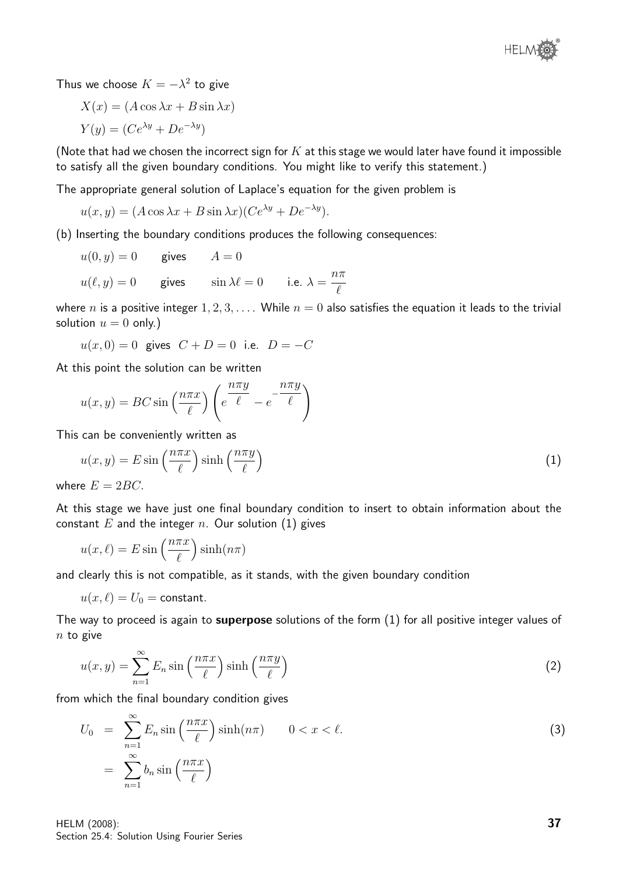

Thus we choose  $K = -\lambda^2$  to give

 $X(x) = (A \cos \lambda x + B \sin \lambda x)$ 

 $Y(y) = (Ce^{\lambda y} + De^{-\lambda y})$ 

(Note that had we chosen the incorrect sign for  $K$  at this stage we would later have found it impossible to satisfy all the given boundary conditions. You might like to verify this statement.)

The appropriate general solution of Laplace's equation for the given problem is

$$
u(x, y) = (A\cos\lambda x + B\sin\lambda x)(Ce^{\lambda y} + De^{-\lambda y}).
$$

(b) Inserting the boundary conditions produces the following consequences:

$$
u(0, y) = 0
$$
 gives  $A = 0$   
 $u(\ell, y) = 0$  gives  $\sin \lambda \ell = 0$  i.e.  $\lambda = \frac{n\pi}{\ell}$ 

where n is a positive integer  $1, 2, 3, \ldots$ . While  $n = 0$  also satisfies the equation it leads to the trivial solution  $u = 0$  only.)

$$
u(x, 0) = 0
$$
 gives  $C + D = 0$  i.e.  $D = -C$ 

At this point the solution can be written

$$
u(x,y) = BC \sin\left(\frac{n\pi x}{\ell}\right) \left(e^{\frac{n\pi y}{\ell}} - e^{-\frac{n\pi y}{\ell}}\right)
$$

This can be conveniently written as

$$
u(x,y) = E \sin\left(\frac{n\pi x}{\ell}\right) \sinh\left(\frac{n\pi y}{\ell}\right) \tag{1}
$$

where  $E = 2BC$ .

At this stage we have just one final boundary condition to insert to obtain information about the constant  $E$  and the integer  $n$ . Our solution (1) gives

$$
u(x,\ell) = E \sin\left(\frac{n\pi x}{\ell}\right) \sinh(n\pi)
$$

and clearly this is not compatible, as it stands, with the given boundary condition

$$
u(x,\ell)=U_0={\rm constant}.
$$

The way to proceed is again to superpose solutions of the form  $(1)$  for all positive integer values of  $n$  to give

$$
u(x,y) = \sum_{n=1}^{\infty} E_n \sin\left(\frac{n\pi x}{\ell}\right) \sinh\left(\frac{n\pi y}{\ell}\right)
$$
 (2)

from which the final boundary condition gives

$$
U_0 = \sum_{n=1}^{\infty} E_n \sin\left(\frac{n\pi x}{\ell}\right) \sinh(n\pi) \qquad 0 < x < \ell.
$$
\n
$$
= \sum_{n=1}^{\infty} b_n \sin\left(\frac{n\pi x}{\ell}\right) \tag{3}
$$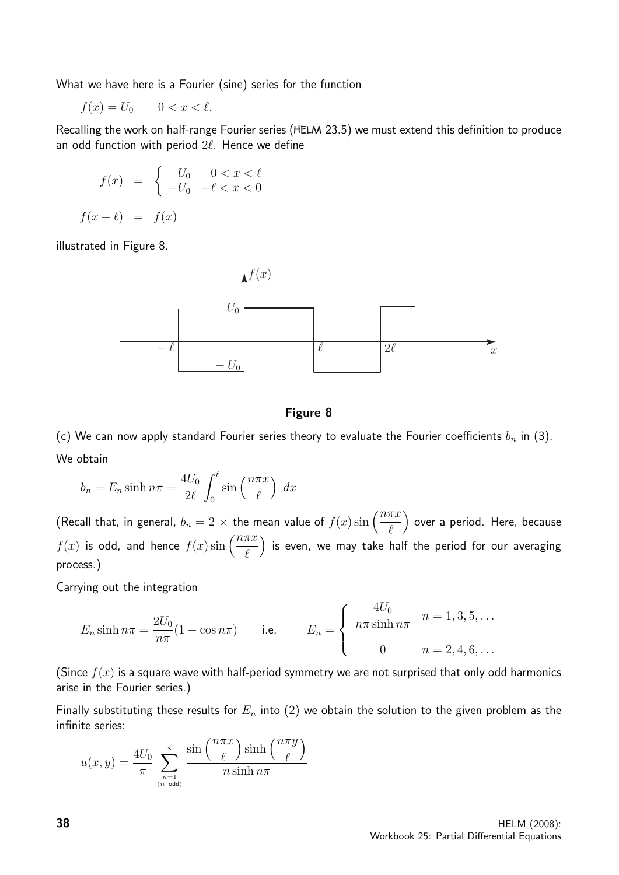What we have here is a Fourier (sine) series for the function

$$
f(x) = U_0 \qquad 0 < x < \ell.
$$

Recalling the work on half-range Fourier series (HELM 23.5) we must extend this definition to produce an odd function with period  $2\ell$ . Hence we define

$$
f(x) = \begin{cases} U_0 & 0 < x < \ell \\ -U_0 & -\ell < x < 0 \end{cases}
$$
\n
$$
f(x + \ell) = f(x)
$$

illustrated in Figure 8.



#### Figure 8

(c) We can now apply standard Fourier series theory to evaluate the Fourier coefficients  $b_n$  in (3). We obtain

$$
b_n = E_n \sinh n\pi = \frac{4U_0}{2\ell} \int_0^{\ell} \sin\left(\frac{n\pi x}{\ell}\right) dx
$$

(Recall that, in general,  $b_n = 2 \times$  the mean value of  $f(x) \sin\left(\frac{n\pi x}{\ell}\right)$ ) over a period. Here, because  $f(x)$  is odd, and hence  $f(x) \sin\left(\frac{n\pi x}{a}\right)$  $\ell$ ) is even, we may take half the period for our averaging process.)

Carrying out the integration

$$
E_n \sinh n\pi = \frac{2U_0}{n\pi} (1 - \cos n\pi) \quad \text{i.e.} \quad E_n = \begin{cases} \frac{4U_0}{n\pi \sinh n\pi} & n = 1, 3, 5, \dots \\ 0 & n = 2, 4, 6, \dots \end{cases}
$$

(Since  $f(x)$  is a square wave with half-period symmetry we are not surprised that only odd harmonics arise in the Fourier series.)

Finally substituting these results for  $E_n$  into (2) we obtain the solution to the given problem as the infinite series:

$$
u(x,y) = \frac{4U_0}{\pi} \sum_{\substack{n=1 \ n \text{ odd}}}^{\infty} \frac{\sin\left(\frac{n\pi x}{\ell}\right) \sinh\left(\frac{n\pi y}{\ell}\right)}{n \sinh n\pi}
$$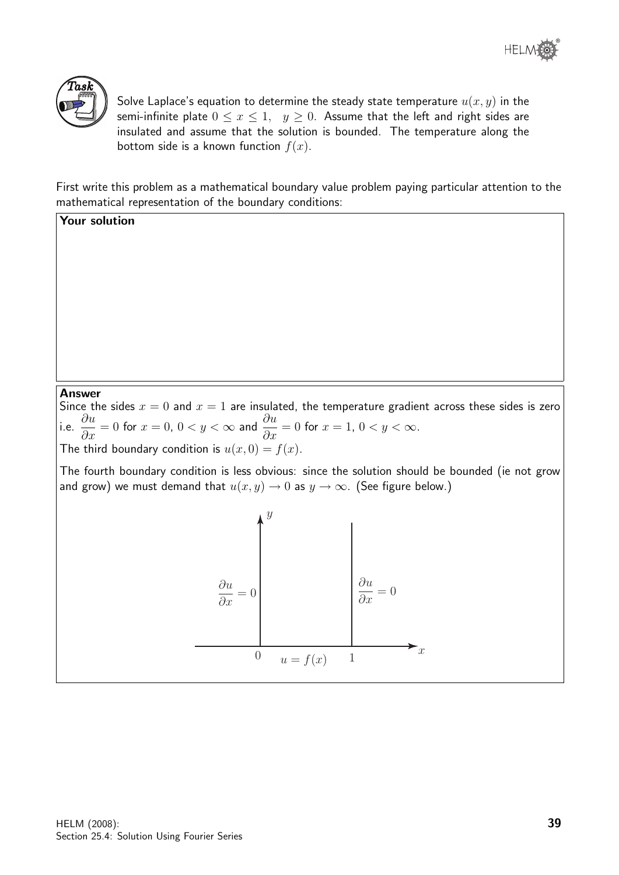



Your solution

Solve Laplace's equation to determine the steady state temperature  $u(x, y)$  in the semi-infinite plate  $0 \le x \le 1$ ,  $y \ge 0$ . Assume that the left and right sides are insulated and assume that the solution is bounded. The temperature along the bottom side is a known function  $f(x)$ .

First write this problem as a mathematical boundary value problem paying particular attention to the mathematical representation of the boundary conditions:

# Answer

Since the sides  $x = 0$  and  $x = 1$  are insulated, the temperature gradient across these sides is zero i.e.  $\frac{\partial u}{\partial x} = 0$  for  $x = 0$ ,  $0 < y < \infty$  and  $\frac{\partial u}{\partial x} = 0$  for  $x = 1$ ,  $0 < y < \infty$ .

The third boundary condition is  $u(x, 0) = f(x)$ .

The fourth boundary condition is less obvious: since the solution should be bounded (ie not grow and grow) we must demand that  $u(x, y) \rightarrow 0$  as  $y \rightarrow \infty$ . (See figure below.)

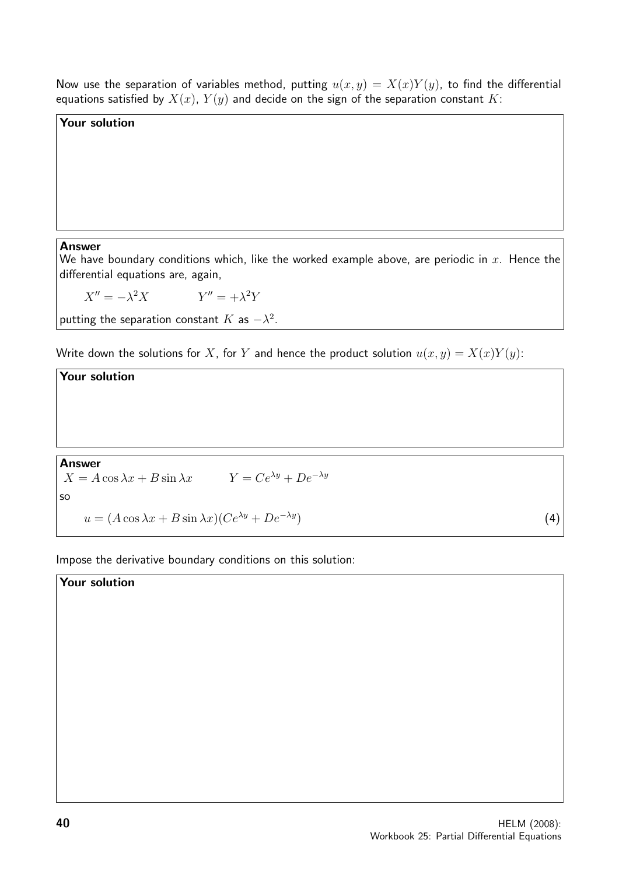Now use the separation of variables method, putting  $u(x, y) = X(x)Y(y)$ , to find the differential equations satisfied by  $X(x)$ ,  $Y(y)$  and decide on the sign of the separation constant K:

# Your solution

#### Answer

We have boundary conditions which, like the worked example above, are periodic in  $x$ . Hence the differential equations are, again,

$$
X'' = -\lambda^2 X \qquad \qquad Y'' = +\lambda^2 Y
$$

putting the separation constant  $K$  as  $-\lambda^2$ .

Write down the solutions for X, for Y and hence the product solution  $u(x, y) = X(x)Y(y)$ :

Your solution

Answer  $X = A \cos \lambda x + B \sin \lambda x$   $Y = Ce^{\lambda y} + De^{-\lambda y}$ so  $u = (A\cos\lambda x + B\sin\lambda x)(Ce^{\lambda y} + De^{-\lambda y})$  (4)

Impose the derivative boundary conditions on this solution:

Your solution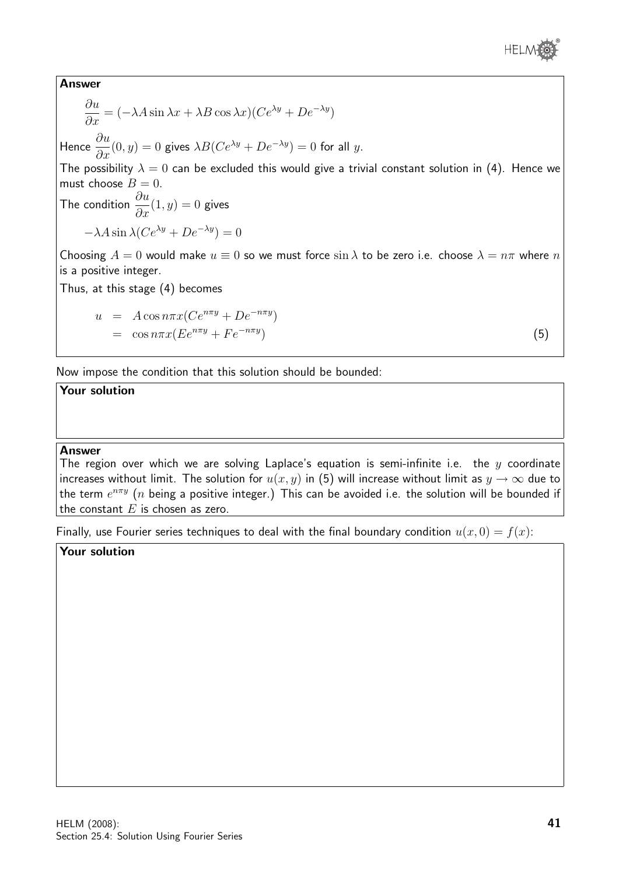

### Answer

$$
\frac{\partial u}{\partial x} = (-\lambda A \sin \lambda x + \lambda B \cos \lambda x)(Ce^{\lambda y} + De^{-\lambda y})
$$
  
Hence 
$$
\frac{\partial u}{\partial x}(0, y) = 0
$$
 gives  $\lambda B(Ce^{\lambda y} + De^{-\lambda y}) = 0$  for all y.

The possibility  $\lambda = 0$  can be excluded this would give a trivial constant solution in (4). Hence we must choose  $B = 0$ .

The condition  $\frac{\partial u}{\partial x}$  $\frac{\partial}{\partial x}(1, y) = 0$  gives  $-\lambda A \sin \lambda (Ce^{\lambda y} + De^{-\lambda y}) = 0$ 

Choosing 
$$
A = 0
$$
 would make  $u \equiv 0$  so we must force  $\sin \lambda$  to be zero i.e. choose  $\lambda = n\pi$  where *n* is a positive integer.

Thus, at this stage (4) becomes

$$
u = A \cos n\pi x (Ce^{n\pi y} + De^{-n\pi y})
$$
  
=  $\cos n\pi x (Ee^{n\pi y} + Fe^{-n\pi y})$  (5)

Now impose the condition that this solution should be bounded:

### Your solution

#### Answer

The region over which we are solving Laplace's equation is semi-infinite i.e. the  $y$  coordinate increases without limit. The solution for  $u(x, y)$  in (5) will increase without limit as  $y \to \infty$  due to the term  $e^{n\pi y}$  ( $n$  being a positive integer.) This can be avoided i.e. the solution will be bounded if the constant  $E$  is chosen as zero.

Finally, use Fourier series techniques to deal with the final boundary condition  $u(x, 0) = f(x)$ :

## Your solution